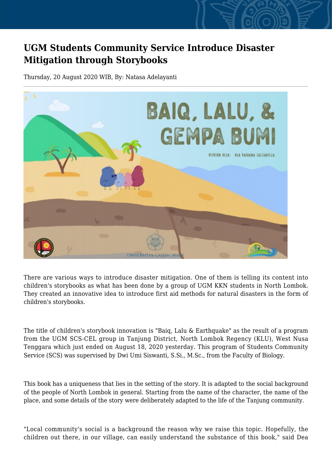## **UGM Students Community Service Introduce Disaster Mitigation through Storybooks**

Thursday, 20 August 2020 WIB, By: Natasa Adelayanti



There are various ways to introduce disaster mitigation. One of them is telling its content into children's storybooks as what has been done by a group of UGM KKN students in North Lombok. They created an innovative idea to introduce first aid methods for natural disasters in the form of children's storybooks.

The title of children's storybook innovation is "Baiq, Lalu & Earthquake" as the result of a program from the UGM SCS-CEL group in Tanjung District, North Lombok Regency (KLU), West Nusa Tenggara which just ended on August 18, 2020 yesterday. This program of Students Community Service (SCS) was supervised by Dwi Umi Siswanti, S.Si., M.Sc., from the Faculty of Biology.

This book has a uniqueness that lies in the setting of the story. It is adapted to the social background of the people of North Lombok in general. Starting from the name of the character, the name of the place, and some details of the story were deliberately adapted to the life of the Tanjung community.

"Local community's social is a background the reason why we raise this topic. Hopefully, the children out there, in our village, can easily understand the substance of this book," said Dea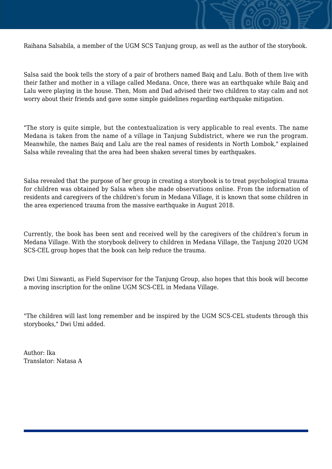

Salsa said the book tells the story of a pair of brothers named Baiq and Lalu. Both of them live with their father and mother in a village called Medana. Once, there was an earthquake while Baiq and Lalu were playing in the house. Then, Mom and Dad advised their two children to stay calm and not worry about their friends and gave some simple guidelines regarding earthquake mitigation.

"The story is quite simple, but the contextualization is very applicable to real events. The name Medana is taken from the name of a village in Tanjung Subdistrict, where we run the program. Meanwhile, the names Baiq and Lalu are the real names of residents in North Lombok," explained Salsa while revealing that the area had been shaken several times by earthquakes.

Salsa revealed that the purpose of her group in creating a storybook is to treat psychological trauma for children was obtained by Salsa when she made observations online. From the information of residents and caregivers of the children's forum in Medana Village, it is known that some children in the area experienced trauma from the massive earthquake in August 2018.

Currently, the book has been sent and received well by the caregivers of the children's forum in Medana Village. With the storybook delivery to children in Medana Village, the Tanjung 2020 UGM SCS-CEL group hopes that the book can help reduce the trauma.

Dwi Umi Siswanti, as Field Supervisor for the Tanjung Group, also hopes that this book will become a moving inscription for the online UGM SCS-CEL in Medana Village.

"The children will last long remember and be inspired by the UGM SCS-CEL students through this storybooks," Dwi Umi added.

Author: Ika Translator: Natasa A